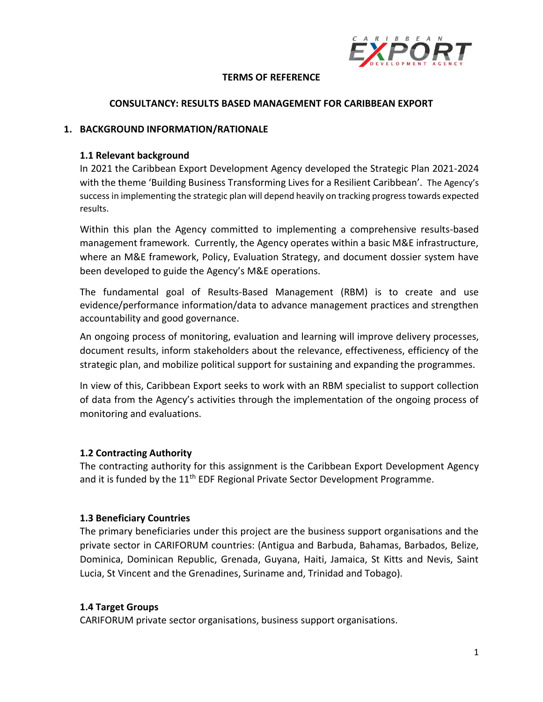

#### **TERMS OF REFERENCE**

#### **CONSULTANCY: RESULTS BASED MANAGEMENT FOR CARIBBEAN EXPORT**

#### **1. BACKGROUND INFORMATION/RATIONALE**

#### **1.1 Relevant background**

In 2021 the Caribbean Export Development Agency developed the Strategic Plan 2021-2024 with the theme 'Building Business Transforming Lives for a Resilient Caribbean'. The Agency's success in implementing the strategic plan will depend heavily on tracking progress towards expected results.

Within this plan the Agency committed to implementing a comprehensive results-based management framework. Currently, the Agency operates within a basic M&E infrastructure, where an M&E framework, Policy, Evaluation Strategy, and document dossier system have been developed to guide the Agency's M&E operations.

The fundamental goal of Results-Based Management (RBM) is to create and use evidence/performance information/data to advance management practices and strengthen accountability and good governance.

An ongoing process of monitoring, evaluation and learning will improve delivery processes, document results, inform stakeholders about the relevance, effectiveness, efficiency of the strategic plan, and mobilize political support for sustaining and expanding the programmes.

In view of this, Caribbean Export seeks to work with an RBM specialist to support collection of data from the Agency's activities through the implementation of the ongoing process of monitoring and evaluations.

### **1.2 Contracting Authority**

The contracting authority for this assignment is the Caribbean Export Development Agency and it is funded by the 11<sup>th</sup> EDF Regional Private Sector Development Programme.

### **1.3 Beneficiary Countries**

The primary beneficiaries under this project are the business support organisations and the private sector in CARIFORUM countries: (Antigua and Barbuda, Bahamas, Barbados, Belize, Dominica, Dominican Republic, Grenada, Guyana, Haiti, Jamaica, St Kitts and Nevis, Saint Lucia, St Vincent and the Grenadines, Suriname and, Trinidad and Tobago).

#### **1.4 Target Groups**

CARIFORUM private sector organisations, business support organisations.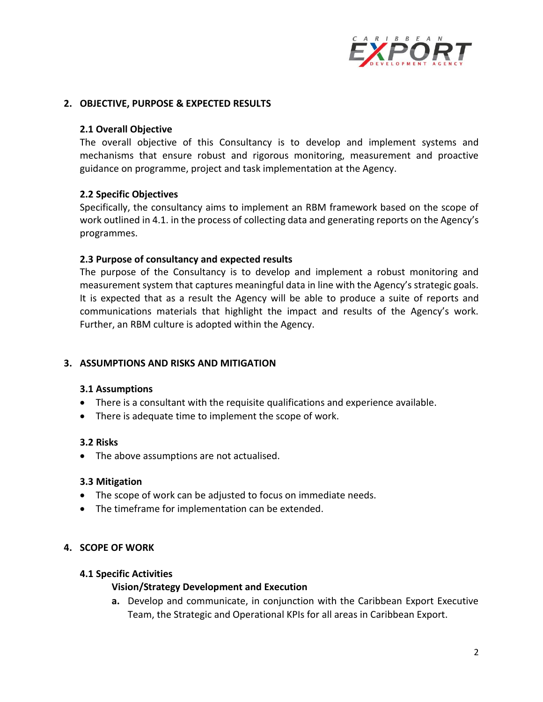

#### **2. OBJECTIVE, PURPOSE & EXPECTED RESULTS**

#### **2.1 Overall Objective**

The overall objective of this Consultancy is to develop and implement systems and mechanisms that ensure robust and rigorous monitoring, measurement and proactive guidance on programme, project and task implementation at the Agency.

#### **2.2 Specific Objectives**

Specifically, the consultancy aims to implement an RBM framework based on the scope of work outlined in 4.1. in the process of collecting data and generating reports on the Agency's programmes.

#### **2.3 Purpose of consultancy and expected results**

The purpose of the Consultancy is to develop and implement a robust monitoring and measurement system that captures meaningful data in line with the Agency's strategic goals. It is expected that as a result the Agency will be able to produce a suite of reports and communications materials that highlight the impact and results of the Agency's work. Further, an RBM culture is adopted within the Agency.

### **3. ASSUMPTIONS AND RISKS AND MITIGATION**

#### **3.1 Assumptions**

- There is a consultant with the requisite qualifications and experience available.
- There is adequate time to implement the scope of work.

#### **3.2 Risks**

• The above assumptions are not actualised.

#### **3.3 Mitigation**

- The scope of work can be adjusted to focus on immediate needs.
- The timeframe for implementation can be extended.

### **4. SCOPE OF WORK**

#### **4.1 Specific Activities**

### **Vision/Strategy Development and Execution**

**a.** Develop and communicate, in conjunction with the Caribbean Export Executive Team, the Strategic and Operational KPIs for all areas in Caribbean Export.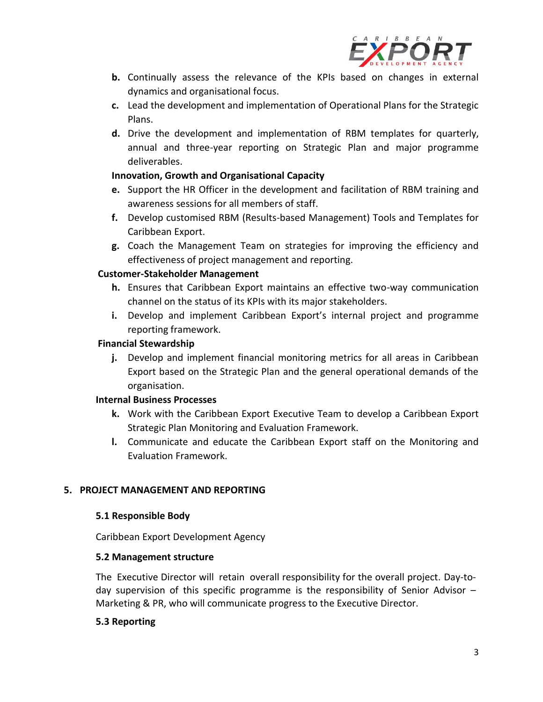

- **b.** Continually assess the relevance of the KPIs based on changes in external dynamics and organisational focus.
- **c.** Lead the development and implementation of Operational Plans for the Strategic Plans.
- **d.** Drive the development and implementation of RBM templates for quarterly, annual and three-year reporting on Strategic Plan and major programme deliverables.

# **Innovation, Growth and Organisational Capacity**

- **e.** Support the HR Officer in the development and facilitation of RBM training and awareness sessions for all members of staff.
- **f.** Develop customised RBM (Results-based Management) Tools and Templates for Caribbean Export.
- **g.** Coach the Management Team on strategies for improving the efficiency and effectiveness of project management and reporting.

# **Customer-Stakeholder Management**

- **h.** Ensures that Caribbean Export maintains an effective two-way communication channel on the status of its KPIs with its major stakeholders.
- **i.** Develop and implement Caribbean Export's internal project and programme reporting framework.

# **Financial Stewardship**

**j.** Develop and implement financial monitoring metrics for all areas in Caribbean Export based on the Strategic Plan and the general operational demands of the organisation.

### **Internal Business Processes**

- **k.** Work with the Caribbean Export Executive Team to develop a Caribbean Export Strategic Plan Monitoring and Evaluation Framework.
- **l.** Communicate and educate the Caribbean Export staff on the Monitoring and Evaluation Framework.

# **5. PROJECT MANAGEMENT AND REPORTING**

### **5.1 Responsible Body**

Caribbean Export Development Agency

### **5.2 Management structure**

The Executive Director will retain overall responsibility for the overall project. Day-today supervision of this specific programme is the responsibility of Senior Advisor  $-$ Marketing & PR, who will communicate progress to the Executive Director.

### **5.3 Reporting**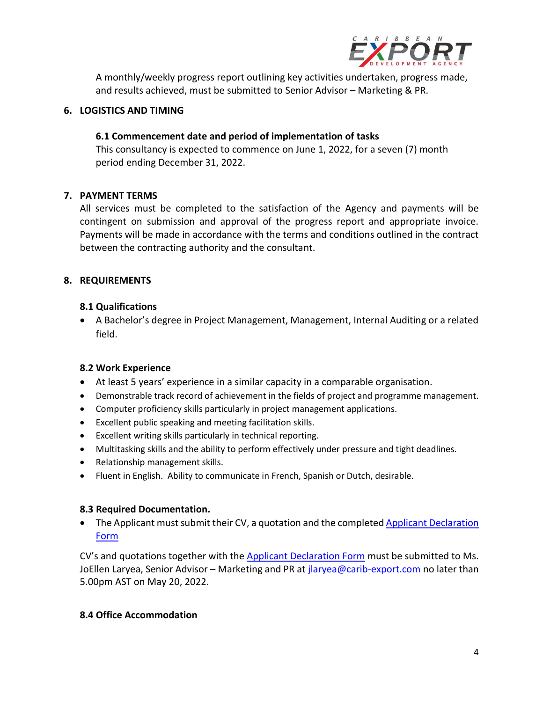

A monthly/weekly progress report outlining key activities undertaken, progress made, and results achieved, must be submitted to Senior Advisor – Marketing & PR.

## **6. LOGISTICS AND TIMING**

# **6.1 Commencement date and period of implementation of tasks**

This consultancy is expected to commence on June 1, 2022, for a seven (7) month period ending December 31, 2022.

# **7. PAYMENT TERMS**

All services must be completed to the satisfaction of the Agency and payments will be contingent on submission and approval of the progress report and appropriate invoice. Payments will be made in accordance with the terms and conditions outlined in the contract between the contracting authority and the consultant.

# **8. REQUIREMENTS**

### **8.1 Qualifications**

• A Bachelor's degree in Project Management, Management, Internal Auditing or a related field.

### **8.2 Work Experience**

- At least 5 years' experience in a similar capacity in a comparable organisation.
- Demonstrable track record of achievement in the fields of project and programme management.
- Computer proficiency skills particularly in project management applications.
- Excellent public speaking and meeting facilitation skills.
- Excellent writing skills particularly in technical reporting.
- Multitasking skills and the ability to perform effectively under pressure and tight deadlines.
- Relationship management skills.
- Fluent in English. Ability to communicate in French, Spanish or Dutch, desirable.

### **8.3 Required Documentation.**

• The Applicant must submit their CV, a quotation and the completed Applicant Declaration [Form](https://www.carib-export.com/download/197007/) 

CV's and quotations together with the [Applicant Declaration Form](https://www.carib-export.com/download/197007/) must be submitted to Ms. JoEllen Laryea, Senior Advisor – Marketing and PR at [jlaryea@carib-export.com](mailto:jlaryea@carib-export.com) no later than 5.00pm AST on May 20, 2022.

### **8.4 Office Accommodation**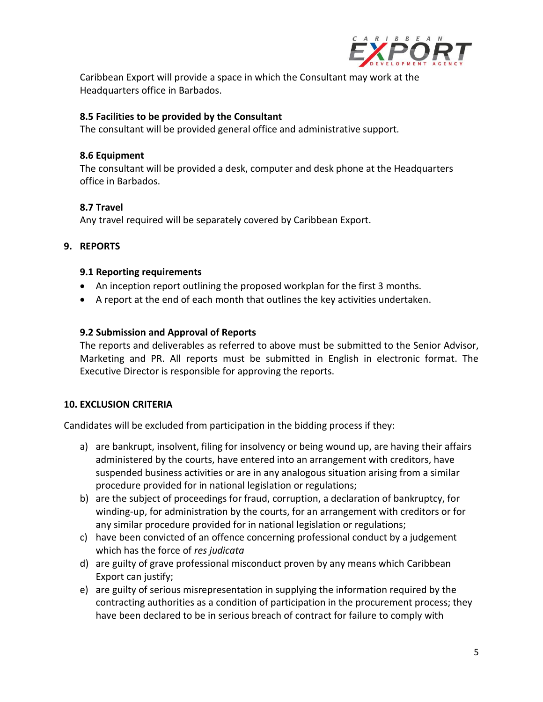

Caribbean Export will provide a space in which the Consultant may work at the Headquarters office in Barbados.

### **8.5 Facilities to be provided by the Consultant**

The consultant will be provided general office and administrative support*.*

## **8.6 Equipment**

The consultant will be provided a desk, computer and desk phone at the Headquarters office in Barbados.

# **8.7 Travel**

Any travel required will be separately covered by Caribbean Export.

### **9. REPORTS**

### **9.1 Reporting requirements**

- An inception report outlining the proposed workplan for the first 3 months.
- A report at the end of each month that outlines the key activities undertaken.

### **9.2 Submission and Approval of Reports**

The reports and deliverables as referred to above must be submitted to the Senior Advisor, Marketing and PR. All reports must be submitted in English in electronic format. The Executive Director is responsible for approving the reports.

### **10. EXCLUSION CRITERIA**

Candidates will be excluded from participation in the bidding process if they:

- a) are bankrupt, insolvent, filing for insolvency or being wound up, are having their affairs administered by the courts, have entered into an arrangement with creditors, have suspended business activities or are in any analogous situation arising from a similar procedure provided for in national legislation or regulations;
- b) are the subject of proceedings for fraud, corruption, a declaration of bankruptcy, for winding-up, for administration by the courts, for an arrangement with creditors or for any similar procedure provided for in national legislation or regulations;
- c) have been convicted of an offence concerning professional conduct by a judgement which has the force of *res judicata*
- d) are guilty of grave professional misconduct proven by any means which Caribbean Export can justify;
- e) are guilty of serious misrepresentation in supplying the information required by the contracting authorities as a condition of participation in the procurement process; they have been declared to be in serious breach of contract for failure to comply with